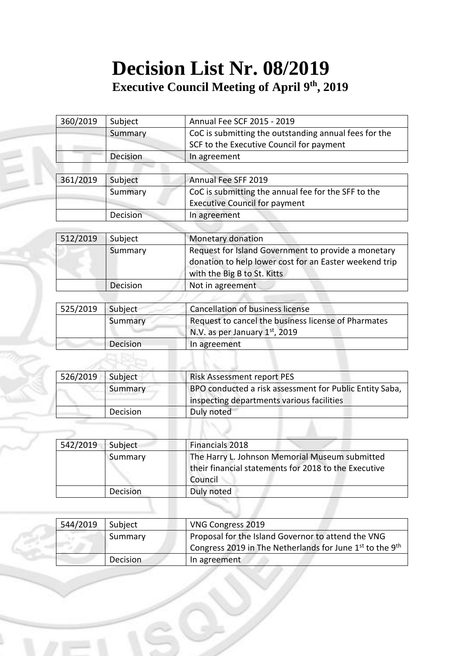## **Decision List Nr. 08/2019 Executive Council Meeting of April 9 th, 2019**

|          | Decision | In agreement                                          |
|----------|----------|-------------------------------------------------------|
|          |          | <b>Executive Council for payment</b>                  |
|          | Summary  | CoC is submitting the annual fee for the SFF to the   |
| 361/2019 | Subject  | Annual Fee SFF 2019                                   |
|          |          |                                                       |
|          | Decision | In agreement                                          |
|          |          | SCF to the Executive Council for payment              |
|          | Summary  | CoC is submitting the outstanding annual fees for the |
| 360/2019 | Subject  | Annual Fee SCF 2015 - 2019                            |

| 512/2019 | Subject  | Monetary donation                                                                                                                            |
|----------|----------|----------------------------------------------------------------------------------------------------------------------------------------------|
|          | Summary  | Request for Island Government to provide a monetary<br>donation to help lower cost for an Easter weekend trip<br>with the Big B to St. Kitts |
|          | Decision | Not in agreement                                                                                                                             |

| 525/2019 | Subject  | Cancellation of business license                    |
|----------|----------|-----------------------------------------------------|
|          | Summary  | Request to cancel the business license of Pharmates |
|          |          | N.V. as per January $1st$ , 2019                    |
|          | Decision | In agreement                                        |

| 526/2019 | Subject  | <b>Risk Assessment report PES</b>                       |
|----------|----------|---------------------------------------------------------|
|          | Summary  | BPO conducted a risk assessment for Public Entity Saba, |
|          |          | inspecting departments various facilities               |
|          | Decision | Duly noted                                              |

| 542/2019 | Subject         | Financials 2018                                                                                                   |
|----------|-----------------|-------------------------------------------------------------------------------------------------------------------|
|          | Summary         | The Harry L. Johnson Memorial Museum submitted<br>their financial statements for 2018 to the Executive<br>Council |
|          | <b>Decision</b> | Duly noted                                                                                                        |

| 544/2019 | I Subject | VNG Congress 2019                                                                             |
|----------|-----------|-----------------------------------------------------------------------------------------------|
|          | Summary   | Proposal for the Island Governor to attend the VNG                                            |
|          |           | <sup>1</sup> Congress 2019 in The Netherlands for June 1 <sup>st</sup> to the 9 <sup>th</sup> |
|          | Decision  | In agreement                                                                                  |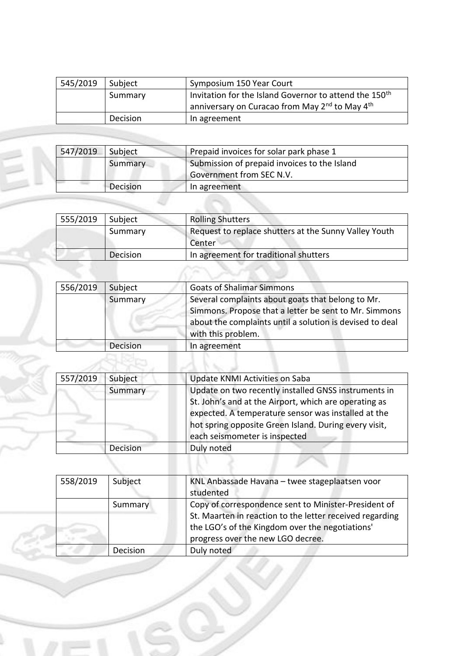| 545/2019 | Subject  | Symposium 150 Year Court                                               |
|----------|----------|------------------------------------------------------------------------|
|          | Summary  | Invitation for the Island Governor to attend the 150 <sup>th</sup>     |
|          |          | anniversary on Curacao from May 2 <sup>nd</sup> to May 4 <sup>th</sup> |
|          | Decision | In agreement                                                           |

| 547/2019 | Subject  | Prepaid invoices for solar park phase 1      |
|----------|----------|----------------------------------------------|
|          | Summary  | Submission of prepaid invoices to the Island |
|          |          | Government from SEC N.V.                     |
|          | Decision | In agreement                                 |

É

Í.

| 555/2019 | Subject  | <b>Rolling Shutters</b>                                         |
|----------|----------|-----------------------------------------------------------------|
|          | Summary  | Request to replace shutters at the Sunny Valley Youth<br>Center |
|          | Decision | In agreement for traditional shutters                           |

| 556/2019 | Subject  | <b>Goats of Shalimar Simmons</b>                                                                                                                                                             |
|----------|----------|----------------------------------------------------------------------------------------------------------------------------------------------------------------------------------------------|
|          | Summary  | Several complaints about goats that belong to Mr.<br>Simmons. Propose that a letter be sent to Mr. Simmons<br>about the complaints until a solution is devised to deal<br>with this problem. |
|          | Decision | In agreement                                                                                                                                                                                 |
|          |          |                                                                                                                                                                                              |

| 557/2019 | Subject  | Update KNMI Activities on Saba                                                                                                                                                                                                                                 |
|----------|----------|----------------------------------------------------------------------------------------------------------------------------------------------------------------------------------------------------------------------------------------------------------------|
|          | Summary  | Update on two recently installed GNSS instruments in<br>St. John's and at the Airport, which are operating as<br>expected. A temperature sensor was installed at the<br>hot spring opposite Green Island. During every visit,<br>each seismometer is inspected |
|          | Decision | Duly noted                                                                                                                                                                                                                                                     |

| 558/2019 | Subject  | KNL Anbassade Havana - twee stageplaatsen voor<br>studented                                                                                                                                              |
|----------|----------|----------------------------------------------------------------------------------------------------------------------------------------------------------------------------------------------------------|
|          | Summary  | Copy of correspondence sent to Minister-President of<br>St. Maarten in reaction to the letter received regarding<br>the LGO's of the Kingdom over the negotiations'<br>progress over the new LGO decree. |
|          | Decision | Duly noted                                                                                                                                                                                               |